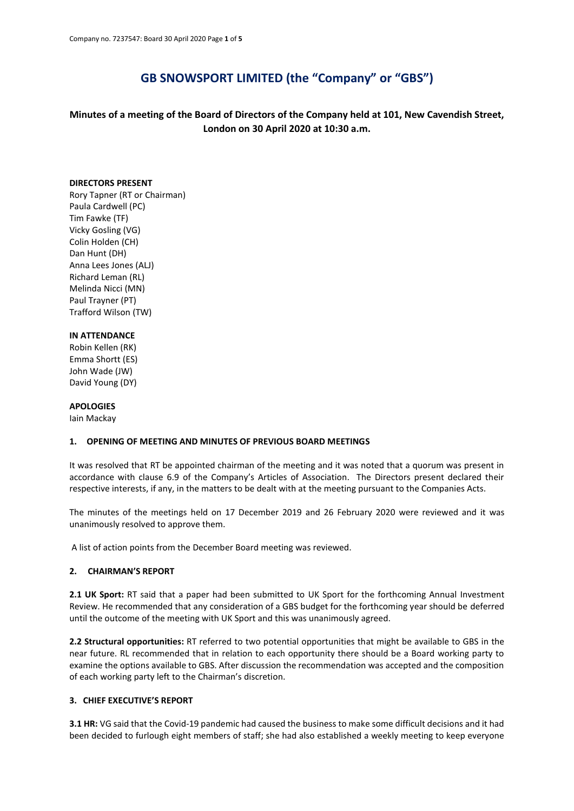# **GB SNOWSPORT LIMITED (the "Company" or "GBS")**

**Minutes of a meeting of the Board of Directors of the Company held at 101, New Cavendish Street, London on 30 April 2020 at 10:30 a.m.**

#### **DIRECTORS PRESENT**

Rory Tapner (RT or Chairman) Paula Cardwell (PC) Tim Fawke (TF) Vicky Gosling (VG) Colin Holden (CH) Dan Hunt (DH) Anna Lees Jones (ALJ) Richard Leman (RL) Melinda Nicci (MN) Paul Trayner (PT) Trafford Wilson (TW)

# **IN ATTENDANCE**

Robin Kellen (RK) Emma Shortt (ES) John Wade (JW) David Young (DY)

# **APOLOGIES**

Iain Mackay

#### **1. OPENING OF MEETING AND MINUTES OF PREVIOUS BOARD MEETINGS**

It was resolved that RT be appointed chairman of the meeting and it was noted that a quorum was present in accordance with clause 6.9 of the Company's Articles of Association. The Directors present declared their respective interests, if any, in the matters to be dealt with at the meeting pursuant to the Companies Acts.

The minutes of the meetings held on 17 December 2019 and 26 February 2020 were reviewed and it was unanimously resolved to approve them.

A list of action points from the December Board meeting was reviewed.

#### **2. CHAIRMAN'S REPORT**

2.1 UK Sport: RT said that a paper had been submitted to UK Sport for the forthcoming Annual Investment Review. He recommended that any consideration of a GBS budget for the forthcoming year should be deferred until the outcome of the meeting with UK Sport and this was unanimously agreed.

**2.2 Structural opportunities:** RT referred to two potential opportunities that might be available to GBS in the near future. RL recommended that in relation to each opportunity there should be a Board working party to examine the options available to GBS. After discussion the recommendation was accepted and the composition of each working party left to the Chairman's discretion.

# **3. CHIEF EXECUTIVE'S REPORT**

**3.1 HR:** VG said that the Covid-19 pandemic had caused the business to make some difficult decisions and it had been decided to furlough eight members of staff; she had also established a weekly meeting to keep everyone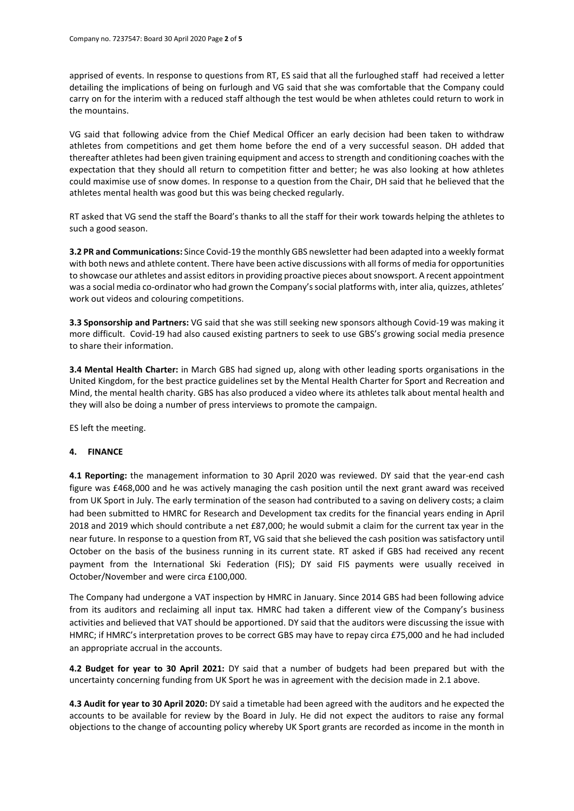apprised of events. In response to questions from RT, ES said that all the furloughed staff had received a letter detailing the implications of being on furlough and VG said that she was comfortable that the Company could carry on for the interim with a reduced staff although the test would be when athletes could return to work in the mountains.

VG said that following advice from the Chief Medical Officer an early decision had been taken to withdraw athletes from competitions and get them home before the end of a very successful season. DH added that thereafter athletes had been given training equipment and access to strength and conditioning coaches with the expectation that they should all return to competition fitter and better; he was also looking at how athletes could maximise use of snow domes. In response to a question from the Chair, DH said that he believed that the athletes mental health was good but this was being checked regularly.

RT asked that VG send the staff the Board's thanks to all the staff for their work towards helping the athletes to such a good season.

**3.2 PR and Communications:** Since Covid-19 the monthly GBS newsletter had been adapted into a weekly format with both news and athlete content. There have been active discussions with all forms of media for opportunities to showcase our athletes and assist editors in providing proactive pieces about snowsport. A recent appointment was a social media co-ordinator who had grown the Company's social platforms with, inter alia, quizzes, athletes' work out videos and colouring competitions.

**3.3 Sponsorship and Partners:** VG said that she was still seeking new sponsors although Covid-19 was making it more difficult. Covid-19 had also caused existing partners to seek to use GBS's growing social media presence to share their information.

**3.4 Mental Health Charter:** in March GBS had signed up, along with other leading sports organisations in the United Kingdom, for the best practice guidelines set by the Mental Health Charter for Sport and Recreation and Mind, the mental health charity. GBS has also produced a video where its athletes talk about mental health and they will also be doing a number of press interviews to promote the campaign.

ES left the meeting.

# **4. FINANCE**

**4.1 Reporting:** the management information to 30 April 2020 was reviewed. DY said that the year-end cash figure was £468,000 and he was actively managing the cash position until the next grant award was received from UK Sport in July. The early termination of the season had contributed to a saving on delivery costs; a claim had been submitted to HMRC for Research and Development tax credits for the financial years ending in April 2018 and 2019 which should contribute a net £87,000; he would submit a claim for the current tax year in the near future. In response to a question from RT, VG said that she believed the cash position was satisfactory until October on the basis of the business running in its current state. RT asked if GBS had received any recent payment from the International Ski Federation (FIS); DY said FIS payments were usually received in October/November and were circa £100,000.

The Company had undergone a VAT inspection by HMRC in January. Since 2014 GBS had been following advice from its auditors and reclaiming all input tax. HMRC had taken a different view of the Company's business activities and believed that VAT should be apportioned. DY said that the auditors were discussing the issue with HMRC; if HMRC's interpretation proves to be correct GBS may have to repay circa £75,000 and he had included an appropriate accrual in the accounts.

**4.2 Budget for year to 30 April 2021:** DY said that a number of budgets had been prepared but with the uncertainty concerning funding from UK Sport he was in agreement with the decision made in 2.1 above.

**4.3 Audit for year to 30 April 2020:** DY said a timetable had been agreed with the auditors and he expected the accounts to be available for review by the Board in July. He did not expect the auditors to raise any formal objections to the change of accounting policy whereby UK Sport grants are recorded as income in the month in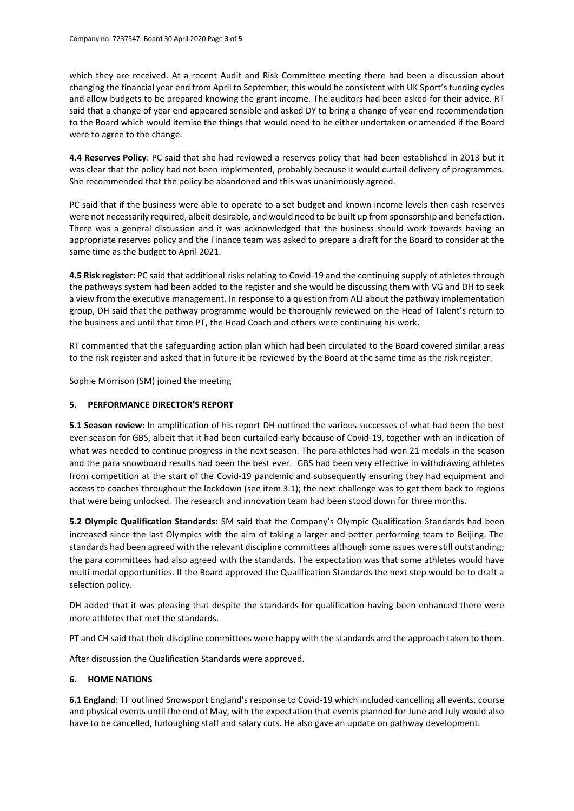which they are received. At a recent Audit and Risk Committee meeting there had been a discussion about changing the financial year end from April to September; this would be consistent with UK Sport's funding cycles and allow budgets to be prepared knowing the grant income. The auditors had been asked for their advice. RT said that a change of year end appeared sensible and asked DY to bring a change of year end recommendation to the Board which would itemise the things that would need to be either undertaken or amended if the Board were to agree to the change.

**4.4 Reserves Policy**: PC said that she had reviewed a reserves policy that had been established in 2013 but it was clear that the policy had not been implemented, probably because it would curtail delivery of programmes. She recommended that the policy be abandoned and this was unanimously agreed.

PC said that if the business were able to operate to a set budget and known income levels then cash reserves were not necessarily required, albeit desirable, and would need to be built up from sponsorship and benefaction. There was a general discussion and it was acknowledged that the business should work towards having an appropriate reserves policy and the Finance team was asked to prepare a draft for the Board to consider at the same time as the budget to April 2021.

**4.5 Risk registe**r**:** PC said that additional risks relating to Covid-19 and the continuing supply of athletes through the pathways system had been added to the register and she would be discussing them with VG and DH to seek a view from the executive management. In response to a question from ALJ about the pathway implementation group, DH said that the pathway programme would be thoroughly reviewed on the Head of Talent's return to the business and until that time PT, the Head Coach and others were continuing his work.

RT commented that the safeguarding action plan which had been circulated to the Board covered similar areas to the risk register and asked that in future it be reviewed by the Board at the same time as the risk register.

Sophie Morrison (SM) joined the meeting

# **5. PERFORMANCE DIRECTOR'S REPORT**

**5.1 Season review:** In amplification of his report DH outlined the various successes of what had been the best ever season for GBS, albeit that it had been curtailed early because of Covid-19, together with an indication of what was needed to continue progress in the next season. The para athletes had won 21 medals in the season and the para snowboard results had been the best ever. GBS had been very effective in withdrawing athletes from competition at the start of the Covid-19 pandemic and subsequently ensuring they had equipment and access to coaches throughout the lockdown (see item 3.1); the next challenge was to get them back to regions that were being unlocked. The research and innovation team had been stood down for three months.

**5.2 Olympic Qualification Standards:** SM said that the Company's Olympic Qualification Standards had been increased since the last Olympics with the aim of taking a larger and better performing team to Beijing. The standards had been agreed with the relevant discipline committees although some issues were still outstanding; the para committees had also agreed with the standards. The expectation was that some athletes would have multi medal opportunities. If the Board approved the Qualification Standards the next step would be to draft a selection policy.

DH added that it was pleasing that despite the standards for qualification having been enhanced there were more athletes that met the standards.

PT and CH said that their discipline committees were happy with the standards and the approach taken to them.

After discussion the Qualification Standards were approved.

# **6. HOME NATIONS**

**6.1 England**: TF outlined Snowsport England's response to Covid-19 which included cancelling all events, course and physical events until the end of May, with the expectation that events planned for June and July would also have to be cancelled, furloughing staff and salary cuts. He also gave an update on pathway development.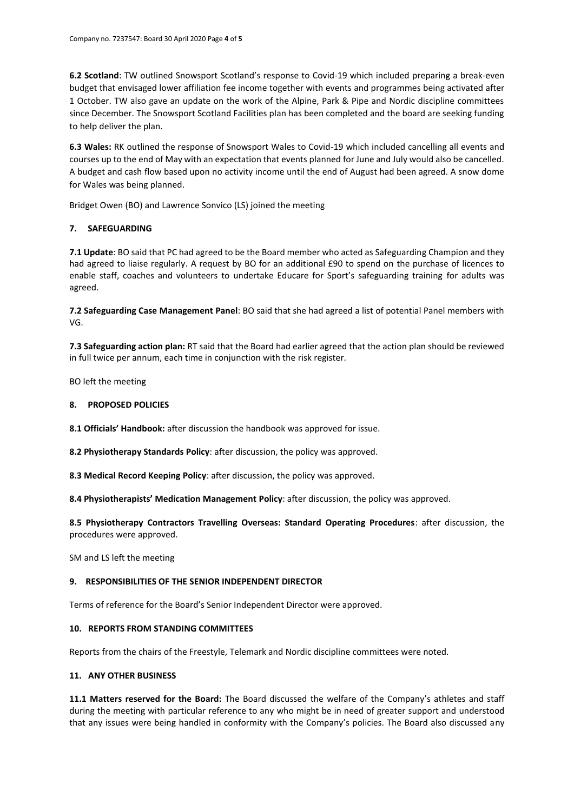**6.2 Scotland**: TW outlined Snowsport Scotland's response to Covid-19 which included preparing a break-even budget that envisaged lower affiliation fee income together with events and programmes being activated after 1 October. TW also gave an update on the work of the Alpine, Park & Pipe and Nordic discipline committees since December. The Snowsport Scotland Facilities plan has been completed and the board are seeking funding to help deliver the plan.

**6.3 Wales:** RK outlined the response of Snowsport Wales to Covid-19 which included cancelling all events and courses up to the end of May with an expectation that events planned for June and July would also be cancelled. A budget and cash flow based upon no activity income until the end of August had been agreed. A snow dome for Wales was being planned.

Bridget Owen (BO) and Lawrence Sonvico (LS) joined the meeting

# **7. SAFEGUARDING**

**7.1 Update**: BO said that PC had agreed to be the Board member who acted as Safeguarding Champion and they had agreed to liaise regularly. A request by BO for an additional £90 to spend on the purchase of licences to enable staff, coaches and volunteers to undertake Educare for Sport's safeguarding training for adults was agreed.

**7.2 Safeguarding Case Management Panel**: BO said that she had agreed a list of potential Panel members with VG.

**7.3 Safeguarding action plan:** RT said that the Board had earlier agreed that the action plan should be reviewed in full twice per annum, each time in conjunction with the risk register.

BO left the meeting

### **8. PROPOSED POLICIES**

**8.1 Officials' Handbook:** after discussion the handbook was approved for issue.

**8.2 Physiotherapy Standards Policy**: after discussion, the policy was approved.

**8.3 Medical Record Keeping Policy**: after discussion, the policy was approved.

**8.4 Physiotherapists' Medication Management Policy**: after discussion, the policy was approved.

**8.5 Physiotherapy Contractors Travelling Overseas: Standard Operating Procedures**: after discussion, the procedures were approved.

SM and LS left the meeting

# **9. RESPONSIBILITIES OF THE SENIOR INDEPENDENT DIRECTOR**

Terms of reference for the Board's Senior Independent Director were approved.

# **10. REPORTS FROM STANDING COMMITTEES**

Reports from the chairs of the Freestyle, Telemark and Nordic discipline committees were noted.

# **11. ANY OTHER BUSINESS**

**11.1 Matters reserved for the Board:** The Board discussed the welfare of the Company's athletes and staff during the meeting with particular reference to any who might be in need of greater support and understood that any issues were being handled in conformity with the Company's policies. The Board also discussed any